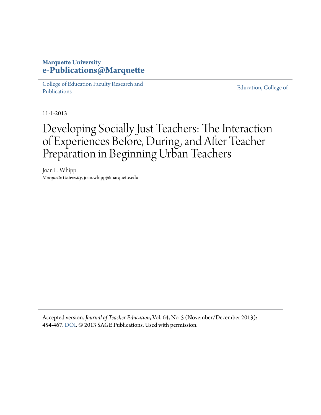#### **Marquette University [e-Publications@Marquette](https://epublications.marquette.edu)**

[College of Education Faculty Research and](https://epublications.marquette.edu/edu_fac) [Publications](https://epublications.marquette.edu/edu_fac)

[Education, College of](https://epublications.marquette.edu/education)

11-1-2013

## Developing Socially Just Teachers: The Interaction of Experiences Before, During, and After Teacher Preparation in Beginning Urban Teachers

Joan L. Whipp *Marquette University*, joan.whipp@marquette.edu

Accepted version. *Journal of Teacher Education*, Vol. 64, No. 5 (November/December 2013): 454-467. [DOI.](http://dx.doi.org/10.1177/0022487113494845) © 2013 SAGE Publications. Used with permission.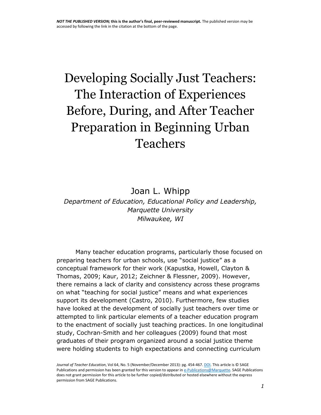# Developing Socially Just Teachers: The Interaction of Experiences Before, During, and After Teacher Preparation in Beginning Urban Teachers

Joan L. Whipp

*Department of Education, Educational Policy and Leadership, Marquette University Milwaukee, WI*

Many teacher education programs, particularly those focused on preparing teachers for urban schools, use "social justice" as a conceptual framework for their work (Kapustka, Howell, Clayton & Thomas, 2009; Kaur, 2012; Zeichner & Flessner, 2009). However, there remains a lack of clarity and consistency across these programs on what "teaching for social justice" means and what experiences support its development (Castro, 2010). Furthermore, few studies have looked at the development of socially just teachers over time or attempted to link particular elements of a teacher education program to the enactment of socially just teaching practices. In one longitudinal study, Cochran-Smith and her colleagues (2009) found that most graduates of their program organized around a social justice theme were holding students to high expectations and connecting curriculum

*Journal of Teacher Education*, Vol 64, No. 5 (November/December 2013): pg. 454-467[. DOI.](http://dx.doi.org/10.1177/0022487113494845) This article is © SAGE Publications and permission has been granted for this version to appear i[n e-Publications@Marquette.](http://epublications.marquette.edu/) SAGE Publications does not grant permission for this article to be further copied/distributed or hosted elsewhere without the express permission from SAGE Publications.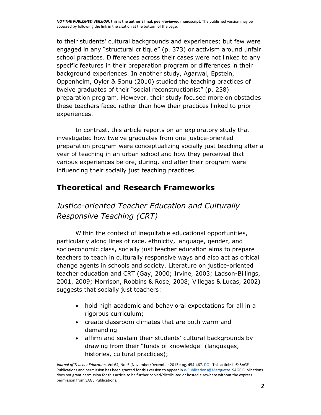to their students' cultural backgrounds and experiences; but few were engaged in any "structural critique" (p. 373) or activism around unfair school practices. Differences across their cases were not linked to any specific features in their preparation program or differences in their background experiences. In another study, Agarwal, Epstein, Oppenheim, Oyler & Sonu (2010) studied the teaching practices of twelve graduates of their "social reconstructionist" (p. 238) preparation program. However, their study focused more on obstacles these teachers faced rather than how their practices linked to prior experiences.

In contrast, this article reports on an exploratory study that investigated how twelve graduates from one justice-oriented preparation program were conceptualizing socially just teaching after a year of teaching in an urban school and how they perceived that various experiences before, during, and after their program were influencing their socially just teaching practices.

## **Theoretical and Research Frameworks**

## *Justice-oriented Teacher Education and Culturally Responsive Teaching (CRT)*

Within the context of inequitable educational opportunities, particularly along lines of race, ethnicity, language, gender, and socioeconomic class, socially just teacher education aims to prepare teachers to teach in culturally responsive ways and also act as critical change agents in schools and society. Literature on justice-oriented teacher education and CRT (Gay, 2000; Irvine, 2003; Ladson-Billings, 2001, 2009; Morrison, Robbins & Rose, 2008; Villegas & Lucas, 2002) suggests that socially just teachers:

- hold high academic and behavioral expectations for all in a rigorous curriculum;
- create classroom climates that are both warm and demanding
- affirm and sustain their students' cultural backgrounds by drawing from their "funds of knowledge" (languages, histories, cultural practices);

*Journal of Teacher Education*, Vol 64, No. 5 (November/December 2013): pg. 454-467[. DOI.](http://dx.doi.org/10.1177/0022487113494845) This article is © SAGE Publications and permission has been granted for this version to appear i[n e-Publications@Marquette.](http://epublications.marquette.edu/) SAGE Publications does not grant permission for this article to be further copied/distributed or hosted elsewhere without the express permission from SAGE Publications.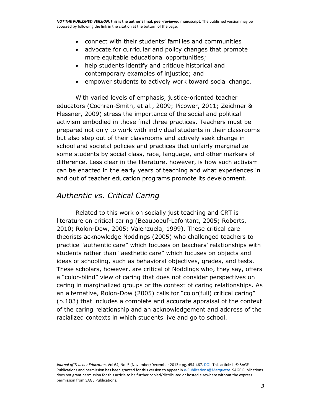- connect with their students' families and communities
- advocate for curricular and policy changes that promote more equitable educational opportunities;
- help students identify and critique historical and contemporary examples of injustice; and
- empower students to actively work toward social change.

With varied levels of emphasis, justice-oriented teacher educators (Cochran-Smith, et al., 2009; Picower, 2011; Zeichner & Flessner, 2009) stress the importance of the social and political activism embodied in those final three practices. Teachers must be prepared not only to work with individual students in their classrooms but also step out of their classrooms and actively seek change in school and societal policies and practices that unfairly marginalize some students by social class, race, language, and other markers of difference. Less clear in the literature, however, is how such activism can be enacted in the early years of teaching and what experiences in and out of teacher education programs promote its development.

### *Authentic vs. Critical Caring*

Related to this work on socially just teaching and CRT is literature on critical caring (Beauboeuf-Lafontant, 2005; Roberts, 2010; Rolon-Dow, 2005; Valenzuela, 1999). These critical care theorists acknowledge Noddings (2005) who challenged teachers to practice "authentic care" which focuses on teachers' relationships with students rather than "aesthetic care" which focuses on objects and ideas of schooling, such as behavioral objectives, grades, and tests. These scholars, however, are critical of Noddings who, they say, offers a "color-blind" view of caring that does not consider perspectives on caring in marginalized groups or the context of caring relationships. As an alternative, Rolon-Dow (2005) calls for "color(full) critical caring" (p.103) that includes a complete and accurate appraisal of the context of the caring relationship and an acknowledgement and address of the racialized contexts in which students live and go to school.

*Journal of Teacher Education*, Vol 64, No. 5 (November/December 2013): pg. 454-467[. DOI.](http://dx.doi.org/10.1177/0022487113494845) This article is © SAGE Publications and permission has been granted for this version to appear i[n e-Publications@Marquette.](http://epublications.marquette.edu/) SAGE Publications does not grant permission for this article to be further copied/distributed or hosted elsewhere without the express permission from SAGE Publications.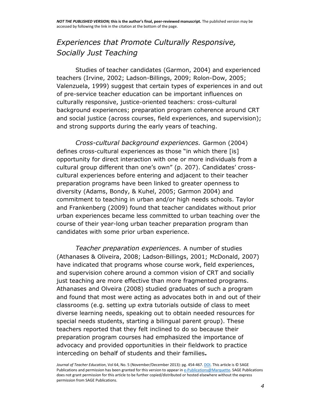## *Experiences that Promote Culturally Responsive, Socially Just Teaching*

Studies of teacher candidates (Garmon, 2004) and experienced teachers (Irvine, 2002; Ladson-Billings, 2009; Rolon-Dow, 2005; Valenzuela, 1999) suggest that certain types of experiences in and out of pre-service teacher education can be important influences on culturally responsive, justice-oriented teachers: cross-cultural background experiences; preparation program coherence around CRT and social justice (across courses, field experiences, and supervision); and strong supports during the early years of teaching.

*Cross-cultural background experiences.* Garmon (2004) defines cross-cultural experiences as those "in which there [is] opportunity for direct interaction with one or more individuals from a cultural group different than one's own" (p. 207). Candidates' crosscultural experiences before entering and adjacent to their teacher preparation programs have been linked to greater openness to diversity (Adams, Bondy, & Kuhel, 2005; Garmon 2004) and commitment to teaching in urban and/or high needs schools. Taylor and Frankenberg (2009) found that teacher candidates without prior urban experiences became less committed to urban teaching over the course of their year-long urban teacher preparation program than candidates with some prior urban experience.

*Teacher preparation experiences.* A number of studies (Athanases & Oliveira, 2008; Ladson-Billings, 2001; McDonald, 2007) have indicated that programs whose course work, field experiences, and supervision cohere around a common vision of CRT and socially just teaching are more effective than more fragmented programs. Athanases and Olveira (2008) studied graduates of such a program and found that most were acting as advocates both in and out of their classrooms (e.g. setting up extra tutorials outside of class to meet diverse learning needs, speaking out to obtain needed resources for special needs students, starting a bilingual parent group). These teachers reported that they felt inclined to do so because their preparation program courses had emphasized the importance of advocacy and provided opportunities in their fieldwork to practice interceding on behalf of students and their families**.** 

Journal of Teacher Education, Vol 64, No. 5 (November/December 2013): pg. 454-467. **DOI.** This article is © SAGE Publications and permission has been granted for this version to appear i[n e-Publications@Marquette.](http://epublications.marquette.edu/) SAGE Publications does not grant permission for this article to be further copied/distributed or hosted elsewhere without the express permission from SAGE Publications.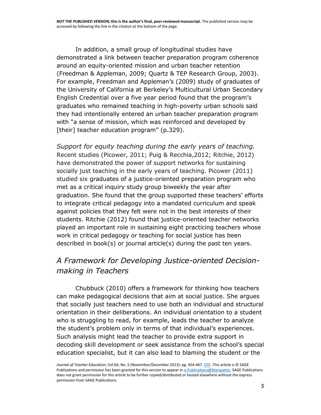In addition, a small group of longitudinal studies have demonstrated a link between teacher preparation program coherence around an equity-oriented mission and urban teacher retention (Freedman & Appleman, 2009; Quartz & TEP Research Group, 2003). For example, Freedman and Appleman's (2009) study of graduates of the University of California at Berkeley's Multicultural Urban Secondary English Credential over a five year period found that the program's graduates who remained teaching in high-poverty urban schools said they had intentionally entered an urban teacher preparation program with "a sense of mission, which was reinforced and developed by [their] teacher education program" (p.329).

*Support for equity teaching during the early years of teaching.* Recent studies (Picower, 2011; Puig & Recchia,2012; Ritchie, 2012) have demonstrated the power of support networks for sustaining socially just teaching in the early years of teaching. Picower (2011) studied six graduates of a justice-oriented preparation program who met as a critical inquiry study group biweekly the year after graduation. She found that the group supported these teachers' efforts to integrate critical pedagogy into a mandated curriculum and speak against policies that they felt were not in the best interests of their students. Ritchie (2012) found that justice-oriented teacher networks played an important role in sustaining eight practicing teachers whose work in critical pedagogy or teaching for social justice has been described in book(s) or journal article(s) during the past ten years.

## *A Framework for Developing Justice-oriented Decisionmaking in Teachers*

Chubbuck (2010) offers a framework for thinking how teachers can make pedagogical decisions that aim at social justice. She argues that socially just teachers need to use both an individual and structural orientation in their deliberations. An individual orientation to a student who is struggling to read, for example, leads the teacher to analyze the student's problem only in terms of that individual's experiences. Such analysis might lead the teacher to provide extra support in decoding skill development or seek assistance from the school's special education specialist, but it can also lead to blaming the student or the

*Journal of Teacher Education*, Vol 64, No. 5 (November/December 2013): pg. 454-467[. DOI.](http://dx.doi.org/10.1177/0022487113494845) This article is © SAGE Publications and permission has been granted for this version to appear i[n e-Publications@Marquette.](http://epublications.marquette.edu/) SAGE Publications does not grant permission for this article to be further copied/distributed or hosted elsewhere without the express permission from SAGE Publications.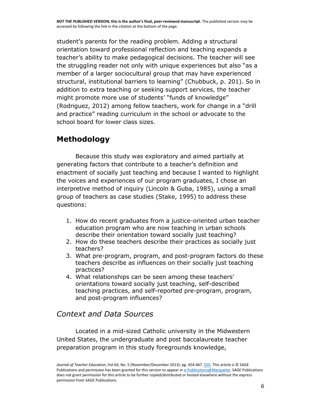student's parents for the reading problem. Adding a structural orientation toward professional reflection and teaching expands a teacher's ability to make pedagogical decisions. The teacher will see the struggling reader not only with unique experiences but also "as a member of a larger sociocultural group that may have experienced structural, institutional barriers to learning" (Chubbuck, p. 201). So in addition to extra teaching or seeking support services, the teacher might promote more use of students' "funds of knowledge" (Rodriguez, 2012) among fellow teachers, work for change in a "drill and practice" reading curriculum in the school or advocate to the school board for lower class sizes.

## **Methodology**

Because this study was exploratory and aimed partially at generating factors that contribute to a teacher's definition and enactment of socially just teaching and because I wanted to highlight the voices and experiences of our program graduates, I chose an interpretive method of inquiry (Lincoln & Guba, 1985), using a small group of teachers as case studies (Stake, 1995) to address these questions:

- 1. How do recent graduates from a justice-oriented urban teacher education program who are now teaching in urban schools describe their orientation toward socially just teaching?
- 2. How do these teachers describe their practices as socially just teachers?
- 3. What pre-program, program, and post-program factors do these teachers describe as influences on their socially just teaching practices?
- 4. What relationships can be seen among these teachers' orientations toward socially just teaching, self-described teaching practices, and self-reported pre-program, program, and post-program influences?

#### *Context and Data Sources*

Located in a mid-sized Catholic university in the Midwestern United States, the undergraduate and post baccalaureate teacher preparation program in this study foregrounds knowledge,

*Journal of Teacher Education*, Vol 64, No. 5 (November/December 2013): pg. 454-467[. DOI.](http://dx.doi.org/10.1177/0022487113494845) This article is © SAGE Publications and permission has been granted for this version to appear i[n e-Publications@Marquette.](http://epublications.marquette.edu/) SAGE Publications does not grant permission for this article to be further copied/distributed or hosted elsewhere without the express permission from SAGE Publications.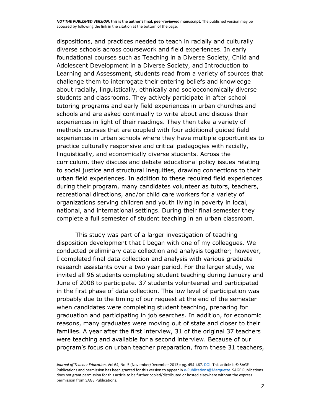dispositions, and practices needed to teach in racially and culturally diverse schools across coursework and field experiences. In early foundational courses such as Teaching in a Diverse Society, Child and Adolescent Development in a Diverse Society, and Introduction to Learning and Assessment, students read from a variety of sources that challenge them to interrogate their entering beliefs and knowledge about racially, linguistically, ethnically and socioeconomically diverse students and classrooms. They actively participate in after school tutoring programs and early field experiences in urban churches and schools and are asked continually to write about and discuss their experiences in light of their readings. They then take a variety of methods courses that are coupled with four additional guided field experiences in urban schools where they have multiple opportunities to practice culturally responsive and critical pedagogies with racially, linguistically, and economically diverse students. Across the curriculum, they discuss and debate educational policy issues relating to social justice and structural inequities, drawing connections to their urban field experiences. In addition to these required field experiences during their program, many candidates volunteer as tutors, teachers, recreational directions, and/or child care workers for a variety of organizations serving children and youth living in poverty in local, national, and international settings. During their final semester they complete a full semester of student teaching in an urban classroom.

This study was part of a larger investigation of teaching disposition development that I began with one of my colleagues. We conducted preliminary data collection and analysis together; however, I completed final data collection and analysis with various graduate research assistants over a two year period. For the larger study, we invited all 96 students completing student teaching during January and June of 2008 to participate. 37 students volunteered and participated in the first phase of data collection. This low level of participation was probably due to the timing of our request at the end of the semester when candidates were completing student teaching, preparing for graduation and participating in job searches. In addition, for economic reasons, many graduates were moving out of state and closer to their families. A year after the first interview, 31 of the original 37 teachers were teaching and available for a second interview. Because of our program's focus on urban teacher preparation, from these 31 teachers,

*Journal of Teacher Education*, Vol 64, No. 5 (November/December 2013): pg. 454-467[. DOI.](http://dx.doi.org/10.1177/0022487113494845) This article is © SAGE Publications and permission has been granted for this version to appear i[n e-Publications@Marquette.](http://epublications.marquette.edu/) SAGE Publications does not grant permission for this article to be further copied/distributed or hosted elsewhere without the express permission from SAGE Publications.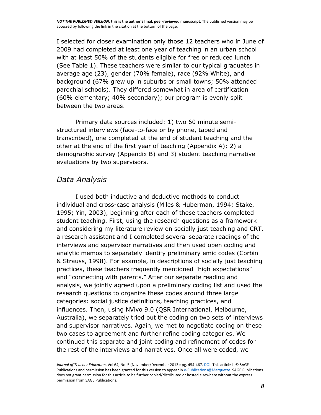I selected for closer examination only those 12 teachers who in June of 2009 had completed at least one year of teaching in an urban school with at least 50% of the students eligible for free or reduced lunch (See Table 1). These teachers were similar to our typical graduates in average age (23), gender (70% female), race (92% White), and background (67% grew up in suburbs or small towns; 50% attended parochial schools). They differed somewhat in area of certification (60% elementary; 40% secondary); our program is evenly split between the two areas.

Primary data sources included: 1) two 60 minute semistructured interviews (face-to-face or by phone, taped and transcribed), one completed at the end of student teaching and the other at the end of the first year of teaching (Appendix A); 2) a demographic survey (Appendix B) and 3) student teaching narrative evaluations by two supervisors.

#### *Data Analysis*

I used both inductive and deductive methods to conduct individual and cross-case analysis (Miles & Huberman, 1994; Stake, 1995; Yin, 2003), beginning after each of these teachers completed student teaching. First, using the research questions as a framework and considering my literature review on socially just teaching and CRT, a research assistant and I completed several separate readings of the interviews and supervisor narratives and then used open coding and analytic memos to separately identify preliminary emic codes (Corbin & Strauss, 1998). For example, in descriptions of socially just teaching practices, these teachers frequently mentioned "high expectations" and "connecting with parents." After our separate reading and analysis, we jointly agreed upon a preliminary coding list and used the research questions to organize these codes around three large categories: social justice definitions, teaching practices, and influences. Then, using NVivo 9.0 (QSR International, Melbourne, Australia), we separately tried out the coding on two sets of interviews and supervisor narratives. Again, we met to negotiate coding on these two cases to agreement and further refine coding categories. We continued this separate and joint coding and refinement of codes for the rest of the interviews and narratives. Once all were coded, we

*Journal of Teacher Education*, Vol 64, No. 5 (November/December 2013): pg. 454-467[. DOI.](http://dx.doi.org/10.1177/0022487113494845) This article is © SAGE Publications and permission has been granted for this version to appear i[n e-Publications@Marquette.](http://epublications.marquette.edu/) SAGE Publications does not grant permission for this article to be further copied/distributed or hosted elsewhere without the express permission from SAGE Publications.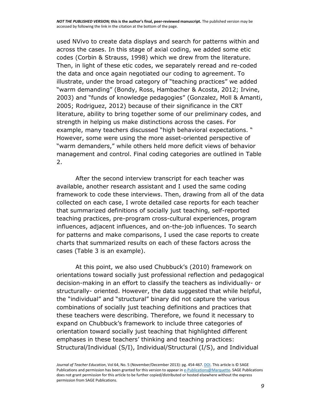used NVivo to create data displays and search for patterns within and across the cases. In this stage of axial coding, we added some etic codes (Corbin & Strauss, 1998) which we drew from the literature. Then, in light of these etic codes, we separately reread and re-coded the data and once again negotiated our coding to agreement. To illustrate, under the broad category of "teaching practices" we added "warm demanding" (Bondy, Ross, Hambacher & Acosta, 2012; Irvine, 2003) and "funds of knowledge pedagogies" (Gonzalez, Moll & Amanti, 2005; Rodriguez, 2012) because of their significance in the CRT literature, ability to bring together some of our preliminary codes, and strength in helping us make distinctions across the cases. For example, many teachers discussed "high behavioral expectations. " However, some were using the more asset-oriented perspective of "warm demanders," while others held more deficit views of behavior management and control. Final coding categories are outlined in Table 2.

After the second interview transcript for each teacher was available, another research assistant and I used the same coding framework to code these interviews. Then, drawing from all of the data collected on each case, I wrote detailed case reports for each teacher that summarized definitions of socially just teaching, self-reported teaching practices, pre-program cross-cultural experiences, program influences, adjacent influences, and on-the-job influences. To search for patterns and make comparisons, I used the case reports to create charts that summarized results on each of these factors across the cases (Table 3 is an example).

At this point, we also used Chubbuck's (2010) framework on orientations toward socially just professional reflection and pedagogical decision-making in an effort to classify the teachers as individually- or structurally- oriented. However, the data suggested that while helpful, the "individual" and "structural" binary did not capture the various combinations of socially just teaching definitions and practices that these teachers were describing. Therefore, we found it necessary to expand on Chubbuck's framework to include three categories of orientation toward socially just teaching that highlighted different emphases in these teachers' thinking and teaching practices: Structural/Individual (S/I), Individual/Structural (I/S), and Individual

*Journal of Teacher Education*, Vol 64, No. 5 (November/December 2013): pg. 454-467[. DOI.](http://dx.doi.org/10.1177/0022487113494845) This article is © SAGE Publications and permission has been granted for this version to appear i[n e-Publications@Marquette.](http://epublications.marquette.edu/) SAGE Publications does not grant permission for this article to be further copied/distributed or hosted elsewhere without the express permission from SAGE Publications.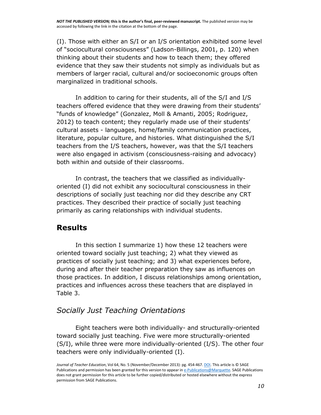(I). Those with either an S/I or an I/S orientation exhibited some level of "sociocultural consciousness" (Ladson-Billings, 2001, p. 120) when thinking about their students and how to teach them; they offered evidence that they saw their students not simply as individuals but as members of larger racial, cultural and/or socioeconomic groups often marginalized in traditional schools.

In addition to caring for their students, all of the S/I and I/S teachers offered evidence that they were drawing from their students' "funds of knowledge" (Gonzalez, Moll & Amanti, 2005; Rodriguez, 2012) to teach content; they regularly made use of their students' cultural assets - languages, home/family communication practices, literature, popular culture, and histories. What distinguished the S/I teachers from the I/S teachers, however, was that the S/I teachers were also engaged in activism (consciousness-raising and advocacy) both within and outside of their classrooms.

In contrast, the teachers that we classified as individuallyoriented (I) did not exhibit any sociocultural consciousness in their descriptions of socially just teaching nor did they describe any CRT practices. They described their practice of socially just teaching primarily as caring relationships with individual students.

#### **Results**

In this section I summarize 1) how these 12 teachers were oriented toward socially just teaching; 2) what they viewed as practices of socially just teaching; and 3) what experiences before, during and after their teacher preparation they saw as influences on those practices. In addition, I discuss relationships among orientation, practices and influences across these teachers that are displayed in Table 3.

#### *Socially Just Teaching Orientations*

Eight teachers were both individually- and structurally-oriented toward socially just teaching. Five were more structurally-oriented (S/I), while three were more individually-oriented (I/S). The other four teachers were only individually-oriented (I).

*Journal of Teacher Education*, Vol 64, No. 5 (November/December 2013): pg. 454-467[. DOI.](http://dx.doi.org/10.1177/0022487113494845) This article is © SAGE Publications and permission has been granted for this version to appear i[n e-Publications@Marquette.](http://epublications.marquette.edu/) SAGE Publications does not grant permission for this article to be further copied/distributed or hosted elsewhere without the express permission from SAGE Publications.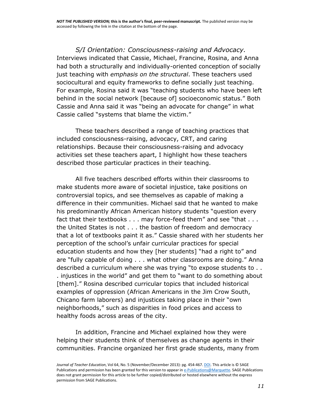*S/I Orientation: Consciousness-raising and Advocacy.* Interviews indicated that Cassie, Michael, Francine, Rosina, and Anna had both a structurally and individually-oriented conception of socially just teaching with *emphasis on the structural*. These teachers used sociocultural and equity frameworks to define socially just teaching. For example, Rosina said it was "teaching students who have been left behind in the social network [because of] socioeconomic status." Both Cassie and Anna said it was "being an advocate for change" in what Cassie called "systems that blame the victim."

These teachers described a range of teaching practices that included consciousness-raising, advocacy, CRT, and caring relationships. Because their consciousness-raising and advocacy activities set these teachers apart, I highlight how these teachers described those particular practices in their teaching.

All five teachers described efforts within their classrooms to make students more aware of societal injustice, take positions on controversial topics, and see themselves as capable of making a difference in their communities. Michael said that he wanted to make his predominantly African American history students "question every fact that their textbooks . . . may force-feed them" and see "that . . . the United States is not . . . the bastion of freedom and democracy that a lot of textbooks paint it as." Cassie shared with her students her perception of the school's unfair curricular practices for special education students and how they [her students] "had a right to" and are "fully capable of doing . . . what other classrooms are doing." Anna described a curriculum where she was trying "to expose students to . . . injustices in the world" and get them to "want to do something about [them]." Rosina described curricular topics that included historical examples of oppression (African Americans in the Jim Crow South, Chicano farm laborers) and injustices taking place in their "own neighborhoods," such as disparities in food prices and access to healthy foods across areas of the city.

In addition, Francine and Michael explained how they were helping their students think of themselves as change agents in their communities. Francine organized her first grade students, many from

*Journal of Teacher Education*, Vol 64, No. 5 (November/December 2013): pg. 454-467[. DOI.](http://dx.doi.org/10.1177/0022487113494845) This article is © SAGE Publications and permission has been granted for this version to appear i[n e-Publications@Marquette.](http://epublications.marquette.edu/) SAGE Publications does not grant permission for this article to be further copied/distributed or hosted elsewhere without the express permission from SAGE Publications.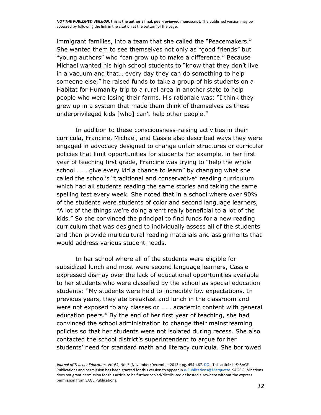immigrant families, into a team that she called the "Peacemakers." She wanted them to see themselves not only as "good friends" but "young authors" who "can grow up to make a difference." Because Michael wanted his high school students to "know that they don't live in a vacuum and that… every day they can do something to help someone else," he raised funds to take a group of his students on a Habitat for Humanity trip to a rural area in another state to help people who were losing their farms. His rationale was: "I think they grew up in a system that made them think of themselves as these underprivileged kids [who] can't help other people."

In addition to these consciousness-raising activities in their curricula, Francine, Michael, and Cassie also described ways they were engaged in advocacy designed to change unfair structures or curricular policies that limit opportunities for students For example, in her first year of teaching first grade, Francine was trying to "help the whole school . . . give every kid a chance to learn" by changing what she called the school's "traditional and conservative" reading curriculum which had all students reading the same stories and taking the same spelling test every week. She noted that in a school where over 90% of the students were students of color and second language learners, "A lot of the things we're doing aren't really beneficial to a lot of the kids." So she convinced the principal to find funds for a new reading curriculum that was designed to individually assess all of the students and then provide multicultural reading materials and assignments that would address various student needs.

In her school where all of the students were eligible for subsidized lunch and most were second language learners, Cassie expressed dismay over the lack of educational opportunities available to her students who were classified by the school as special education students: "My students were held to incredibly low expectations. In previous years, they ate breakfast and lunch in the classroom and were not exposed to any classes or . . . academic content with general education peers." By the end of her first year of teaching, she had convinced the school administration to change their mainstreaming policies so that her students were not isolated during recess. She also contacted the school district's superintendent to argue for her students' need for standard math and literacy curricula. She borrowed

*Journal of Teacher Education*, Vol 64, No. 5 (November/December 2013): pg. 454-467[. DOI.](http://dx.doi.org/10.1177/0022487113494845) This article is © SAGE Publications and permission has been granted for this version to appear i[n e-Publications@Marquette.](http://epublications.marquette.edu/) SAGE Publications does not grant permission for this article to be further copied/distributed or hosted elsewhere without the express permission from SAGE Publications.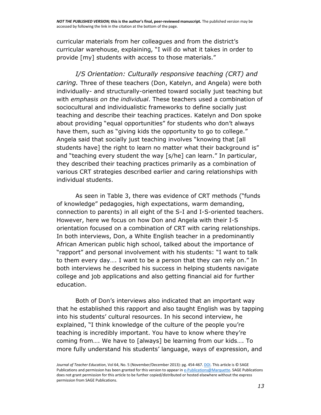curricular materials from her colleagues and from the district's curricular warehouse, explaining, "I will do what it takes in order to provide [my] students with access to those materials."

*I/S Orientation: Culturally responsive teaching (CRT) and caring.* Three of these teachers (Don, Katelyn, and Angela) were both individually- and structurally-oriented toward socially just teaching but with *emphasis on the individual*. These teachers used a combination of sociocultural and individualistic frameworks to define socially just teaching and describe their teaching practices. Katelyn and Don spoke about providing "equal opportunities" for students who don't always have them, such as "giving kids the opportunity to go to college." Angela said that socially just teaching involves "knowing that [all students have] the right to learn no matter what their background is" and "teaching every student the way [s/he] can learn." In particular, they described their teaching practices primarily as a combination of various CRT strategies described earlier and caring relationships with individual students.

As seen in Table 3, there was evidence of CRT methods ("funds of knowledge" pedagogies, high expectations, warm demanding, connection to parents) in all eight of the S-I and I-S-oriented teachers. However, here we focus on how Don and Angela with their I-S orientation focused on a combination of CRT with caring relationships. In both interviews, Don, a White English teacher in a predominantly African American public high school, talked about the importance of "rapport" and personal involvement with his students: "I want to talk to them every day…. I want to be a person that they can rely on." In both interviews he described his success in helping students navigate college and job applications and also getting financial aid for further education.

Both of Don's interviews also indicated that an important way that he established this rapport and also taught English was by tapping into his students' cultural resources. In his second interview, he explained, "I think knowledge of the culture of the people you're teaching is incredibly important. You have to know where they're coming from…. We have to [always] be learning from our kids…. To more fully understand his students' language, ways of expression, and

*Journal of Teacher Education*, Vol 64, No. 5 (November/December 2013): pg. 454-467[. DOI.](http://dx.doi.org/10.1177/0022487113494845) This article is © SAGE Publications and permission has been granted for this version to appear i[n e-Publications@Marquette.](http://epublications.marquette.edu/) SAGE Publications does not grant permission for this article to be further copied/distributed or hosted elsewhere without the express permission from SAGE Publications.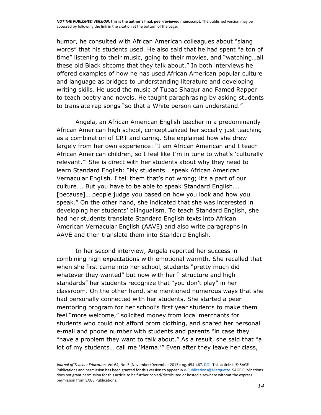humor, he consulted with African American colleagues about "slang words" that his students used. He also said that he had spent "a ton of time" listening to their music, going to their movies, and "watching…all these old Black sitcoms that they talk about." In both interviews he offered examples of how he has used African American popular culture and language as bridges to understanding literature and developing writing skills. He used the music of Tupac Shaqur and Famed Rapper to teach poetry and novels. He taught paraphrasing by asking students to translate rap songs "so that a White person can understand."

Angela, an African American English teacher in a predominantly African American high school, conceptualized her socially just teaching as a combination of CRT and caring. She explained how she drew largely from her own experience: "I am African American and I teach African American children, so I feel like I'm in tune to what's 'culturally relevant.'" She is direct with her students about why they need to learn Standard English: "My students… speak African American Vernacular English. I tell them that's not wrong; it's a part of our culture…. But you have to be able to speak Standard English…. [because]… people judge you based on how you look and how you speak." On the other hand, she indicated that she was interested in developing her students' bilingualism. To teach Standard English, she had her students translate Standard English texts into African American Vernacular English (AAVE) and also write paragraphs in AAVE and then translate them into Standard English.

In her second interview, Angela reported her success in combining high expectations with emotional warmth. She recalled that when she first came into her school, students "pretty much did whatever they wanted" but now with her " structure and high standards" her students recognize that "you don't play" in her classroom. On the other hand, she mentioned numerous ways that she had personally connected with her students. She started a peer mentoring program for her school's first year students to make them feel "more welcome," solicited money from local merchants for students who could not afford prom clothing, and shared her personal e-mail and phone number with students and parents "in case they "have a problem they want to talk about." As a result, she said that "a lot of my students… call me 'Mama.'" Even after they leave her class,

*Journal of Teacher Education*, Vol 64, No. 5 (November/December 2013): pg. 454-467[. DOI.](http://dx.doi.org/10.1177/0022487113494845) This article is © SAGE Publications and permission has been granted for this version to appear i[n e-Publications@Marquette.](http://epublications.marquette.edu/) SAGE Publications does not grant permission for this article to be further copied/distributed or hosted elsewhere without the express permission from SAGE Publications.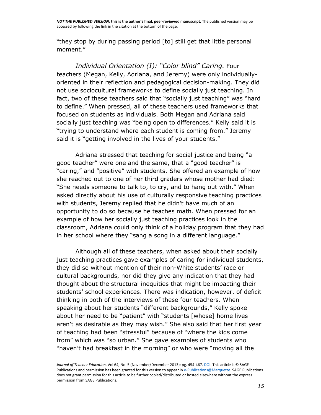"they stop by during passing period [to] still get that little personal moment."

*Individual Orientation (I): "Color blind" Caring.* Four teachers (Megan, Kelly, Adriana, and Jeremy) were only individuallyoriented in their reflection and pedagogical decision-making. They did not use sociocultural frameworks to define socially just teaching. In fact, two of these teachers said that "socially just teaching" was "hard to define." When pressed, all of these teachers used frameworks that focused on students as individuals. Both Megan and Adriana said socially just teaching was "being open to differences." Kelly said it is "trying to understand where each student is coming from." Jeremy said it is "getting involved in the lives of your students."

Adriana stressed that teaching for social justice and being "a good teacher" were one and the same, that a "good teacher" is "caring," and "positive" with students. She offered an example of how she reached out to one of her third graders whose mother had died: "She needs someone to talk to, to cry, and to hang out with." When asked directly about his use of culturally responsive teaching practices with students, Jeremy replied that he didn't have much of an opportunity to do so because he teaches math. When pressed for an example of how her socially just teaching practices look in the classroom, Adriana could only think of a holiday program that they had in her school where they "sang a song in a different language."

Although all of these teachers, when asked about their socially just teaching practices gave examples of caring for individual students, they did so without mention of their non-White students' race or cultural backgrounds, nor did they give any indication that they had thought about the structural inequities that might be impacting their students' school experiences. There was indication, however, of deficit thinking in both of the interviews of these four teachers. When speaking about her students "different backgrounds," Kelly spoke about her need to be "patient" with "students [whose] home lives aren't as desirable as they may wish." She also said that her first year of teaching had been "stressful" because of "where the kids come from" which was "so urban." She gave examples of students who "haven't had breakfast in the morning" or who were "moving all the

*Journal of Teacher Education*, Vol 64, No. 5 (November/December 2013): pg. 454-467[. DOI.](http://dx.doi.org/10.1177/0022487113494845) This article is © SAGE Publications and permission has been granted for this version to appear i[n e-Publications@Marquette.](http://epublications.marquette.edu/) SAGE Publications does not grant permission for this article to be further copied/distributed or hosted elsewhere without the express permission from SAGE Publications.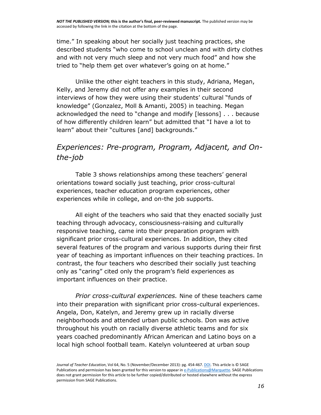time." In speaking about her socially just teaching practices, she described students "who come to school unclean and with dirty clothes and with not very much sleep and not very much food" and how she tried to "help them get over whatever's going on at home."

Unlike the other eight teachers in this study, Adriana, Megan, Kelly, and Jeremy did not offer any examples in their second interviews of how they were using their students' cultural "funds of knowledge" (Gonzalez, Moll & Amanti, 2005) in teaching. Megan acknowledged the need to "change and modify [lessons] . . . because of how differently children learn" but admitted that "I have a lot to learn" about their "cultures [and] backgrounds."

## *Experiences: Pre-program, Program, Adjacent, and Onthe-job*

Table 3 shows relationships among these teachers' general orientations toward socially just teaching, prior cross-cultural experiences, teacher education program experiences, other experiences while in college, and on-the job supports.

All eight of the teachers who said that they enacted socially just teaching through advocacy, consciousness-raising and culturally responsive teaching, came into their preparation program with significant prior cross-cultural experiences. In addition, they cited several features of the program and various supports during their first year of teaching as important influences on their teaching practices. In contrast, the four teachers who described their socially just teaching only as "caring" cited only the program's field experiences as important influences on their practice.

*Prior cross-cultural experiences.* Nine of these teachers came into their preparation with significant prior cross-cultural experiences. Angela, Don, Katelyn, and Jeremy grew up in racially diverse neighborhoods and attended urban public schools. Don was active throughout his youth on racially diverse athletic teams and for six years coached predominantly African American and Latino boys on a local high school football team. Katelyn volunteered at urban soup

*Journal of Teacher Education*, Vol 64, No. 5 (November/December 2013): pg. 454-467[. DOI.](http://dx.doi.org/10.1177/0022487113494845) This article is © SAGE Publications and permission has been granted for this version to appear i[n e-Publications@Marquette.](http://epublications.marquette.edu/) SAGE Publications does not grant permission for this article to be further copied/distributed or hosted elsewhere without the express permission from SAGE Publications.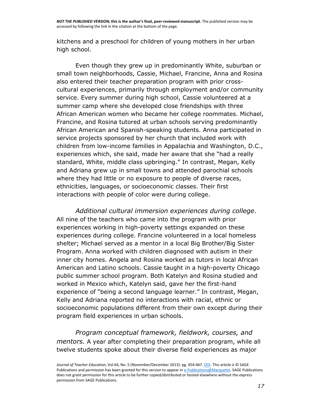kitchens and a preschool for children of young mothers in her urban high school.

Even though they grew up in predominantly White, suburban or small town neighborhoods, Cassie, Michael, Francine, Anna and Rosina also entered their teacher preparation program with prior crosscultural experiences, primarily through employment and/or community service. Every summer during high school, Cassie volunteered at a summer camp where she developed close friendships with three African American women who became her college roommates. Michael, Francine, and Rosina tutored at urban schools serving predominantly African American and Spanish-speaking students. Anna participated in service projects sponsored by her church that included work with children from low-income families in Appalachia and Washington, D.C., experiences which, she said, made her aware that she "had a really standard, White, middle class upbringing." In contrast, Megan, Kelly and Adriana grew up in small towns and attended parochial schools where they had little or no exposure to people of diverse races, ethnicities, languages, or socioeconomic classes. Their first interactions with people of color were during college.

*Additional cultural immersion experiences during college.* All nine of the teachers who came into the program with prior experiences working in high-poverty settings expanded on these experiences during college. Francine volunteered in a local homeless shelter; Michael served as a mentor in a local Big Brother/Big Sister Program. Anna worked with children diagnosed with autism in their inner city homes. Angela and Rosina worked as tutors in local African American and Latino schools. Cassie taught in a high-poverty Chicago public summer school program. Both Katelyn and Rosina studied and worked in Mexico which, Katelyn said, gave her the first-hand experience of "being a second language learner." In contrast, Megan, Kelly and Adriana reported no interactions with racial, ethnic or socioeconomic populations different from their own except during their program field experiences in urban schools.

*Program conceptual framework, fieldwork, courses, and mentors.* A year after completing their preparation program, while all twelve students spoke about their diverse field experiences as major

*Journal of Teacher Education*, Vol 64, No. 5 (November/December 2013): pg. 454-467[. DOI.](http://dx.doi.org/10.1177/0022487113494845) This article is © SAGE Publications and permission has been granted for this version to appear i[n e-Publications@Marquette.](http://epublications.marquette.edu/) SAGE Publications does not grant permission for this article to be further copied/distributed or hosted elsewhere without the express permission from SAGE Publications.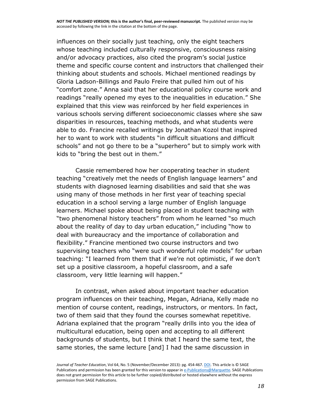influences on their socially just teaching, only the eight teachers whose teaching included culturally responsive, consciousness raising and/or advocacy practices, also cited the program's social justice theme and specific course content and instructors that challenged their thinking about students and schools. Michael mentioned readings by Gloria Ladson-Billings and Paulo Freire that pulled him out of his "comfort zone." Anna said that her educational policy course work and readings "really opened my eyes to the inequalities in education." She explained that this view was reinforced by her field experiences in various schools serving different socioeconomic classes where she saw disparities in resources, teaching methods, and what students were able to do. Francine recalled writings by Jonathan Kozol that inspired her to want to work with students "in difficult situations and difficult schools" and not go there to be a "superhero" but to simply work with kids to "bring the best out in them."

Cassie remembered how her cooperating teacher in student teaching "creatively met the needs of English language learners" and students with diagnosed learning disabilities and said that she was using many of those methods in her first year of teaching special education in a school serving a large number of English language learners. Michael spoke about being placed in student teaching with "two phenomenal history teachers" from whom he learned "so much about the reality of day to day urban education," including "how to deal with bureaucracy and the importance of collaboration and flexibility." Francine mentioned two course instructors and two supervising teachers who "were such wonderful role models" for urban teaching: "I learned from them that if we're not optimistic, if we don't set up a positive classroom, a hopeful classroom, and a safe classroom, very little learning will happen."

In contrast, when asked about important teacher education program influences on their teaching, Megan, Adriana, Kelly made no mention of course content, readings, instructors, or mentors. In fact, two of them said that they found the courses somewhat repetitive. Adriana explained that the program "really drills into you the idea of multicultural education, being open and accepting to all different backgrounds of students, but I think that I heard the same text, the same stories, the same lecture [and] I had the same discussion in

*Journal of Teacher Education*, Vol 64, No. 5 (November/December 2013): pg. 454-467[. DOI.](http://dx.doi.org/10.1177/0022487113494845) This article is © SAGE Publications and permission has been granted for this version to appear i[n e-Publications@Marquette.](http://epublications.marquette.edu/) SAGE Publications does not grant permission for this article to be further copied/distributed or hosted elsewhere without the express permission from SAGE Publications.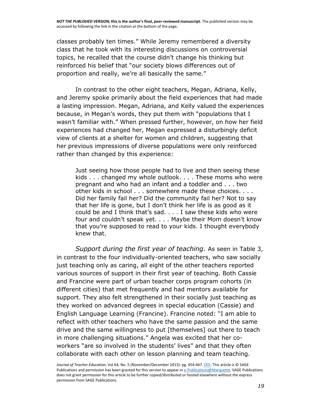classes probably ten times." While Jeremy remembered a diversity class that he took with its interesting discussions on controversial topics, he recalled that the course didn't change his thinking but reinforced his belief that "our society blows differences out of proportion and really, we're all basically the same."

In contrast to the other eight teachers, Megan, Adriana, Kelly, and Jeremy spoke primarily about the field experiences that had made a lasting impression. Megan, Adriana, and Kelly valued the experiences because, in Megan's words, they put them with "populations that I wasn't familiar with." When pressed further, however, on how her field experiences had changed her, Megan expressed a disturbingly deficit view of clients at a shelter for women and children, suggesting that her previous impressions of diverse populations were only reinforced rather than changed by this experience:

Just seeing how those people had to live and then seeing these kids . . . changed my whole outlook. . . . These moms who were pregnant and who had an infant and a toddler and . . . two other kids in school . . . somewhere made these choices. . . . Did her family fail her? Did the community fail her? Not to say that her life is gone, but I don't think her life is as good as it could be and I think that's sad. . . . I saw these kids who were four and couldn't speak yet. . . . Maybe their Mom doesn't know that you're supposed to read to your kids. I thought everybody knew that.

*Support during the first year of teaching.* As seen in Table 3, in contrast to the four individually-oriented teachers, who saw socially just teaching only as caring, all eight of the other teachers reported various sources of support in their first year of teaching. Both Cassie and Francine were part of urban teacher corps program cohorts (in different cities) that met frequently and had mentors available for support. They also felt strengthened in their socially just teaching as they worked on advanced degrees in special education (Cassie) and English Language Learning (Francine). Francine noted: "I am able to reflect with other teachers who have the same passion and the same drive and the same willingness to put [themselves] out there to teach in more challenging situations." Angela was excited that her coworkers "are so involved in the students' lives" and that they often collaborate with each other on lesson planning and team teaching.

Journal of Teacher Education, Vol 64, No. 5 (November/December 2013): pg. 454-467. **DOI.** This article is © SAGE Publications and permission has been granted for this version to appear i[n e-Publications@Marquette.](http://epublications.marquette.edu/) SAGE Publications does not grant permission for this article to be further copied/distributed or hosted elsewhere without the express permission from SAGE Publications.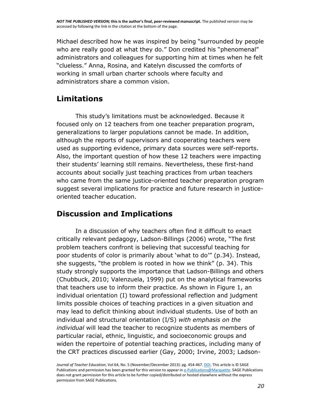Michael described how he was inspired by being "surrounded by people who are really good at what they do." Don credited his "phenomenal" administrators and colleagues for supporting him at times when he felt "clueless." Anna, Rosina, and Katelyn discussed the comforts of working in small urban charter schools where faculty and administrators share a common vision.

## **Limitations**

This study's limitations must be acknowledged. Because it focused only on 12 teachers from one teacher preparation program, generalizations to larger populations cannot be made. In addition, although the reports of supervisors and cooperating teachers were used as supporting evidence, primary data sources were self-reports. Also, the important question of how these 12 teachers were impacting their students' learning still remains. Nevertheless, these first-hand accounts about socially just teaching practices from urban teachers who came from the same justice-oriented teacher preparation program suggest several implications for practice and future research in justiceoriented teacher education.

## **Discussion and Implications**

In a discussion of why teachers often find it difficult to enact critically relevant pedagogy, Ladson-Billings (2006) wrote, "The first problem teachers confront is believing that successful teaching for poor students of color is primarily about 'what to do'" (p.34). Instead, she suggests, "the problem is rooted in how we think" (p. 34). This study strongly supports the importance that Ladson-Billings and others (Chubbuck, 2010; Valenzuela, 1999) put on the analytical frameworks that teachers use to inform their practice. As shown in Figure 1, an individual orientation (I) toward professional reflection and judgment limits possible choices of teaching practices in a given situation and may lead to deficit thinking about individual students. Use of both an individual and structural orientation (I/S) *with emphasis on the individual* will lead the teacher to recognize students as members of particular racial, ethnic, linguistic, and socioeconomic groups and widen the repertoire of potential teaching practices, including many of the CRT practices discussed earlier (Gay, 2000; Irvine, 2003; Ladson-

*Journal of Teacher Education*, Vol 64, No. 5 (November/December 2013): pg. 454-467[. DOI.](http://dx.doi.org/10.1177/0022487113494845) This article is © SAGE Publications and permission has been granted for this version to appear i[n e-Publications@Marquette.](http://epublications.marquette.edu/) SAGE Publications does not grant permission for this article to be further copied/distributed or hosted elsewhere without the express permission from SAGE Publications.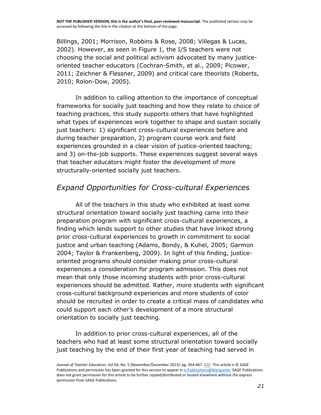Billings, 2001; Morrison, Robbins & Rose, 2008; Villegas & Lucas, 2002). However, as seen in Figure 1, the I/S teachers were not choosing the social and political activism advocated by many justiceoriented teacher educators (Cochran-Smith, et al., 2009; Picower, 2011; Zeichner & Flessner, 2009) and critical care theorists (Roberts, 2010; Rolon-Dow, 2005).

In addition to calling attention to the importance of conceptual frameworks for socially just teaching and how they relate to choice of teaching practices, this study supports others that have highlighted what types of experiences work together to shape and sustain socially just teachers: 1) significant cross-cultural experiences before and during teacher preparation, 2) program course work and field experiences grounded in a clear vision of justice-oriented teaching; and 3) on-the-job supports. These experiences suggest several ways that teacher educators might foster the development of more structurally-oriented socially just teachers.

## *Expand Opportunities for Cross-cultural Experiences*

All of the teachers in this study who exhibited at least some structural orientation toward socially just teaching came into their preparation program with significant cross-cultural experiences, a finding which lends support to other studies that have linked strong prior cross-cultural experiences to growth in commitment to social justice and urban teaching (Adams, Bondy, & Kuhel, 2005; Garmon 2004; Taylor & Frankenberg, 2009). In light of this finding, justiceoriented programs should consider making prior cross-cultural experiences a consideration for program admission. This does not mean that only those incoming students with prior cross-cultural experiences should be admitted. Rather, *more* students with significant cross-cultural background experiences and more students of color should be recruited in order to create a critical mass of candidates who could support each other's development of a more structural orientation to socially just teaching.

In addition to prior cross-cultural experiences, all of the teachers who had at least some structural orientation toward socially just teaching by the end of their first year of teaching had served in

*Journal of Teacher Education*, Vol 64, No. 5 (November/December 2013): pg. 454-467[. DOI.](http://dx.doi.org/10.1177/0022487113494845) This article is © SAGE Publications and permission has been granted for this version to appear i[n e-Publications@Marquette.](http://epublications.marquette.edu/) SAGE Publications does not grant permission for this article to be further copied/distributed or hosted elsewhere without the express permission from SAGE Publications.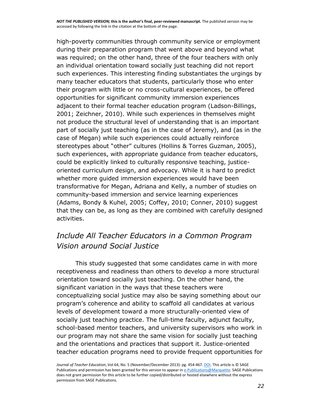high-poverty communities through community service or employment during their preparation program that went above and beyond what was required; on the other hand, three of the four teachers with only an individual orientation toward socially just teaching did not report such experiences. This interesting finding substantiates the urgings by many teacher educators that students, particularly those who enter their program with little or no cross-cultural experiences, be offered opportunities for significant community immersion experiences adjacent to their formal teacher education program (Ladson-Billings, 2001; Zeichner, 2010). While such experiences in themselves might not produce the structural level of understanding that is an important part of socially just teaching (as in the case of Jeremy), and (as in the case of Megan) while such experiences could actually reinforce stereotypes about "other" cultures (Hollins & Torres Guzman, 2005), such experiences, with appropriate guidance from teacher educators, could be explicitly linked to culturally responsive teaching, justiceoriented curriculum design, and advocacy. While it is hard to predict whether more guided immersion experiences would have been transformative for Megan, Adriana and Kelly, a number of studies on community-based immersion and service learning experiences (Adams, Bondy & Kuhel, 2005; Coffey, 2010; Conner, 2010) suggest that they can be, as long as they are combined with carefully designed activities.

#### *Include All Teacher Educators in a Common Program Vision around Social Justice*

This study suggested that some candidates came in with more receptiveness and readiness than others to develop a more structural orientation toward socially just teaching. On the other hand, the significant variation in the ways that these teachers were conceptualizing social justice may also be saying something about our program's coherence and ability to scaffold all candidates at various levels of development toward a more structurally-oriented view of socially just teaching practice. The full-time faculty, adjunct faculty, school-based mentor teachers, and university supervisors who work in our program may not share the same vision for socially just teaching and the orientations and practices that support it. Justice-oriented teacher education programs need to provide frequent opportunities for

Journal of Teacher Education, Vol 64, No. 5 (November/December 2013): pg. 454-467. **DOI.** This article is © SAGE Publications and permission has been granted for this version to appear i[n e-Publications@Marquette.](http://epublications.marquette.edu/) SAGE Publications does not grant permission for this article to be further copied/distributed or hosted elsewhere without the express permission from SAGE Publications.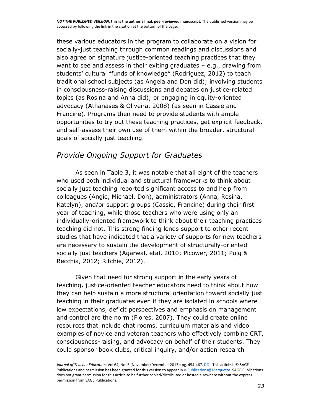these various educators in the program to collaborate on a vision for socially-just teaching through common readings and discussions and also agree on signature justice-oriented teaching practices that they want to see and assess in their exiting graduates – e.g., drawing from students' cultural "funds of knowledge" (Rodriguez, 2012) to teach traditional school subjects (as Angela and Don did); involving students in consciousness-raising discussions and debates on justice-related topics (as Rosina and Anna did); or engaging in equity-oriented advocacy (Athanases & Oliveira, 2008) (as seen in Cassie and Francine). Programs then need to provide students with ample opportunities to try out these teaching practices, get explicit feedback, and self-assess their own use of them within the broader, structural goals of socially just teaching.

#### *Provide Ongoing Support for Graduates*

As seen in Table 3, it was notable that all eight of the teachers who used both individual and structural frameworks to think about socially just teaching reported significant access to and help from colleagues (Angie, Michael, Don), administrators (Anna, Rosina, Katelyn), and/or support groups (Cassie, Francine) during their first year of teaching, while those teachers who were using only an individually-oriented framework to think about their teaching practices teaching did not. This strong finding lends support to other recent studies that have indicated that a variety of supports for new teachers are necessary to sustain the development of structurally-oriented socially just teachers (Agarwal, etal, 2010; Picower, 2011; Puig & Recchia, 2012; Ritchie, 2012).

Given that need for strong support in the early years of teaching, justice-oriented teacher educators need to think about how they can help sustain a more structural orientation toward socially just teaching in their graduates even if they are isolated in schools where low expectations, deficit perspectives and emphasis on management and control are the norm (Flores, 2007). They could create online resources that include chat rooms, curriculum materials and video examples of novice and veteran teachers who effectively combine CRT, consciousness-raising, and advocacy on behalf of their students. They could sponsor book clubs, critical inquiry, and/or action research

*Journal of Teacher Education*, Vol 64, No. 5 (November/December 2013): pg. 454-467[. DOI.](http://dx.doi.org/10.1177/0022487113494845) This article is © SAGE Publications and permission has been granted for this version to appear i[n e-Publications@Marquette.](http://epublications.marquette.edu/) SAGE Publications does not grant permission for this article to be further copied/distributed or hosted elsewhere without the express permission from SAGE Publications.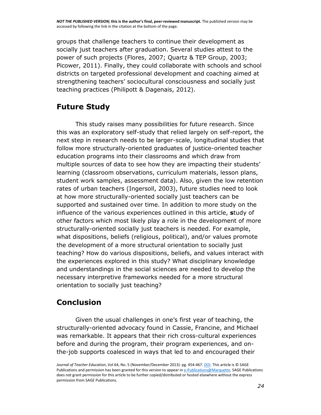groups that challenge teachers to continue their development as socially just teachers after graduation. Several studies attest to the power of such projects (Flores, 2007; Quartz & TEP Group, 2003; Picower, 2011). Finally, they could collaborate with schools and school districts on targeted professional development and coaching aimed at strengthening teachers' sociocultural consciousness and socially just teaching practices (Philipott & Dagenais, 2012).

## **Future Study**

This study raises many possibilities for future research. Since this was an exploratory self-study that relied largely on self-report, the next step in research needs to be larger-scale, longitudinal studies that follow more structurally-oriented graduates of justice-oriented teacher education programs into their classrooms and which draw from multiple sources of data to see how they are impacting their students' learning (classroom observations, curriculum materials, lesson plans, student work samples, assessment data). Also, given the low retention rates of urban teachers (Ingersoll, 2003), future studies need to look at how more structurally-oriented socially just teachers can be supported and sustained over time. In addition to more study on the influence of the various experiences outlined in this article, **s**tudy of other factors which most likely play a role in the development of more structurally-oriented socially just teachers is needed. For example, what dispositions, beliefs (religious, political), and/or values promote the development of a more structural orientation to socially just teaching? How do various dispositions, beliefs, and values interact with the experiences explored in this study? What disciplinary knowledge and understandings in the social sciences are needed to develop the necessary interpretive frameworks needed for a more structural orientation to socially just teaching?

## **Conclusion**

Given the usual challenges in one's first year of teaching, the structurally-oriented advocacy found in Cassie, Francine, and Michael was remarkable. It appears that their rich cross-cultural experiences before and during the program, their program experiences, and onthe-job supports coalesced in ways that led to and encouraged their

Journal of Teacher Education, Vol 64, No. 5 (November/December 2013): pg. 454-467. **DOI.** This article is © SAGE Publications and permission has been granted for this version to appear i[n e-Publications@Marquette.](http://epublications.marquette.edu/) SAGE Publications does not grant permission for this article to be further copied/distributed or hosted elsewhere without the express permission from SAGE Publications.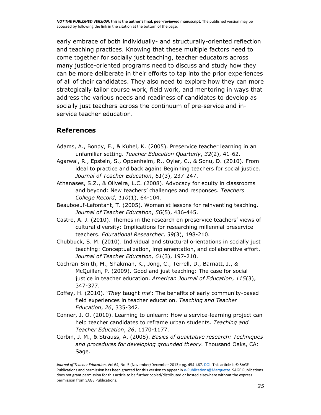early embrace of both individually- and structurally-oriented reflection and teaching practices. Knowing that these multiple factors need to come together for socially just teaching, teacher educators across many justice-oriented programs need to discuss and study how they can be more deliberate in their efforts to tap into the prior experiences of all of their candidates. They also need to explore how they can more strategically tailor course work, field work, and mentoring in ways that address the various needs and readiness of candidates to develop as socially just teachers across the continuum of pre-service and inservice teacher education.

#### **References**

- Adams, A., Bondy, E., & Kuhel, K. (2005). Preservice teacher learning in an unfamiliar setting. *Teacher Education Quarterly*, *32*(2), 41-62.
- Agarwal, R., Epstein, S., Oppenheim, R., Oyler, C., & Sonu, D. (2010). From ideal to practice and back again: Beginning teachers for social justice. *Journal of Teacher Education*, *61*(3), 237-247.
- Athanases, S.Z., & Oliveira, L.C. (2008). Advocacy for equity in classrooms and beyond: New teachers' challenges and responses. *Teachers College Record*, *110*(1), 64-104.
- Beauboeuf-Lafontant, T. (2005). Womanist lessons for reinventing teaching. *Journal of Teacher Education*, *56*(5), 436-445.
- Castro, A. J. (2010). Themes in the research on preservice teachers' views of cultural diversity: Implications for researching millennial preservice teachers. *Educational Researcher*, *39*(3), 198-210.
- Chubbuck, S. M. (2010). Individual and structural orientations in socially just teaching: Conceptualization, implementation, and collaborative effort. *Journal of Teacher Education, 61*(3), 197-210.
- Cochran-Smith, M., Shakman, K., Jong, C., Terrell, D., Barnatt, J., & McQuillan, P. (2009). Good and just teaching: The case for social justice in teacher education. *American Journal of Education*, *115*(3), 347-377.
- Coffey, H. (2010). '*They* taught *me*': The benefits of early community-based field experiences in teacher education. *Teaching and Teacher Education*, *26*, 335-342.
- Conner, J. O. (2010). Learning to unlearn: How a service-learning project can help teacher candidates to reframe urban students. *Teaching and Teacher Education*, *26*, 1170-1177.
- Corbin, J. M., & Strauss, A. (2008). *Basics of qualitative research: Techniques and procedures for developing grounded theory.* Thousand Oaks, CA: Sage.

*Journal of Teacher Education*, Vol 64, No. 5 (November/December 2013): pg. 454-467[. DOI.](http://dx.doi.org/10.1177/0022487113494845) This article is © SAGE Publications and permission has been granted for this version to appear i[n e-Publications@Marquette.](http://epublications.marquette.edu/) SAGE Publications does not grant permission for this article to be further copied/distributed or hosted elsewhere without the express permission from SAGE Publications.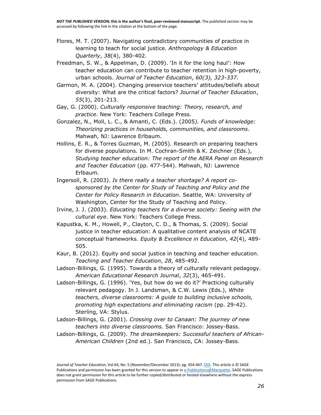- Flores, M. T. (2007). Navigating contradictory communities of practice in learning to teach for social justice. *Anthropology & Education Quarterly*, *38*(4), 380-402.
- Freedman, S. W., & Appelman, D. (2009). 'In it for the long haul': How teacher education can contribute to teacher retention in high-poverty, urban schools. *Journal of Teacher Education*, *60(3), 323-337.*
- Garmon, M. A. (2004). Changing preservice teachers' attitudes/beliefs about diversity: What are the critical factors? *Journal of Teacher Education*, *55*(3), 201-213.
- Gay, G. (2000). *Culturally responsive teaching: Theory, research, and practice*. New York: Teachers College Press.
- Gonzalez, N., Moll, L. C., & Amanti, C. (Eds.). (2005*). Funds of knowledge: Theorizing practices in households, communities, and classrooms*. Mahwah, NJ: Lawrence Erlbaum.
- Hollins, E. R., & Torres Guzman, M. (2005). Research on preparing teachers for diverse populations. In M. Cochran-Smith & K. Zeichner (Eds.), *Studying teacher education: The report of the AERA Panel on Research and Teacher Education* (pp. 477-544). Mahwah, NJ: Lawrence Erlbaum.
- Ingersoll, R. (2003). *Is there really a teacher shortage? A report cosponsored by the Center for Study of Teaching and Policy and the Center for Policy Research in Education*. Seattle, WA: University of Washington, Center for the Study of Teaching and Policy.
- Irvine, J. J. (2003). *Educating teachers for a diverse society: Seeing with the cultural eye*. New York: Teachers College Press.
- Kapustka, K. M., Howell, P., Clayton, C. D., & Thomas, S. (2009). Social justice in teacher education: A qualitative content analysis of NCATE conceptual frameworks. *Equity & Excellence in Education*, *42*(4), 489- 505.
- Kaur, B. (2012). Equity and social justice in teaching and teacher education. *Teaching and Teacher Education*, *28*, 485-492.
- Ladson-Billings, G. (1995). Towards a theory of culturally relevant pedagogy. *American Educational Research Journal*, *32*(3), 465-491.
- Ladson-Billings, G. (1996). 'Yes, but how do we do it?' Practicing culturally relevant pedagogy. In J. Landsman, & C.W. Lewis (Eds.), *White teachers, diverse classrooms: A guide to building inclusive schools, promoting high expectations and eliminating racism* (pp. 29-42). Sterling, VA: Stylus.
- Ladson-Billings, G. (2001). *Crossing over to Canaan: The journey of new teachers into diverse classrooms.* San Francisco: Jossey-Bass.
- Ladson-Billings, G. (2009). *The dreamkeepers: Successful teachers of African-American Children* (2nd ed.). San Francisco, CA: Jossey-Bass.

*Journal of Teacher Education*, Vol 64, No. 5 (November/December 2013): pg. 454-467[. DOI.](http://dx.doi.org/10.1177/0022487113494845) This article is © SAGE Publications and permission has been granted for this version to appear i[n e-Publications@Marquette.](http://epublications.marquette.edu/) SAGE Publications does not grant permission for this article to be further copied/distributed or hosted elsewhere without the express permission from SAGE Publications.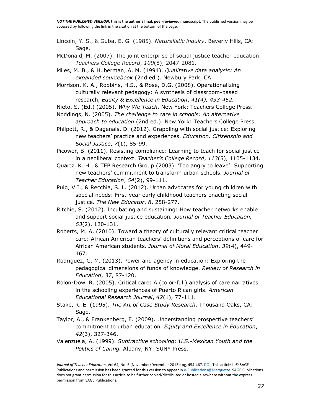- Lincoln, Y. S., & Guba, E. G. (1985). *Naturalistic inquiry*. Beverly Hills, CA: Sage.
- McDonald, M. (2007). The joint enterprise of social justice teacher education. *Teachers College Record*, *109*(8), 2047-2081.
- Miles, M. B., & Huberman, A. M. (1994). *Qualitative data analysis: An expanded sourcebook* (2nd ed.). Newbury Park, CA.

Morrison, K. A., Robbins, H.S., & Rose, D.G. (2008). Operationalizing culturally relevant pedagogy: A synthesis of classroom-based research, *Equity & Excellence in Education*, *41(4), 433-452.* 

- Nieto, S. (Ed.) (2005). *Why We Teach*. New York: Teachers College Press.
- Noddings, N. (2005). *The challenge to care in schools: An alternative approach to education* (2nd ed.). New York: Teachers College Press.
- Philpott, R., & Dagenais, D. (2012). Grappling with social justice: Exploring new teachers' practice and experiences. *Education, Citizenship and Social Justice*, *7*(1), 85-99.
- Picower, B. (2011). Resisting compliance: Learning to teach for social justice in a neoliberal context. *Teacher's College Record*, *113*(5), 1105-1134.
- Quartz, K. H., & TEP Research Group (2003). 'Too angry to leave': Supporting new teachers' commitment to transform urban schools. *Journal of Teacher Education*, *54*(2), 99-111.
- Puig, V.I., & Recchia, S. L. (2012). Urban advocates for young children with special needs: First-year early childhood teachers enacting social justice. *The New Educator*, *8*, 258-277.
- Ritchie, S. (2012). Incubating and sustaining: How teacher networks enable and support social justice education*. Journal of Teacher Education, 63*(2), 120-131.
- Roberts, M. A. (2010). Toward a theory of culturally relevant critical teacher care: African American teachers' definitions and perceptions of care for African American students*. Journal of Moral Education*, *39*(4), 449- 467.
- Rodriguez, G. M. (2013). Power and agency in education: Exploring the pedagogical dimensions of funds of knowledge. *Review of Research in Education*, *37*, 87-120.
- Rolon-Dow, R. (2005). Critical care: A (color-full) analysis of care narratives in the schooling experiences of Puerto Rican girls. *American Educational Research Journal*, *42*(1), 77-111.
- Stake, R. E. (1995). *The Art of Case Study Research*. Thousand Oaks, CA: Sage.
- Taylor, A., & Frankenberg, E. (2009). Understanding prospective teachers' commitment to urban education*. Equity and Excellence in Education*, *42*(3), 327-346.
- Valenzuela, A. (1999). *Subtractive schooling: U.S.-Mexican Youth and the Politics of Caring.* Albany, NY: SUNY Press.

*Journal of Teacher Education*, Vol 64, No. 5 (November/December 2013): pg. 454-467[. DOI.](http://dx.doi.org/10.1177/0022487113494845) This article is © SAGE Publications and permission has been granted for this version to appear i[n e-Publications@Marquette.](http://epublications.marquette.edu/) SAGE Publications does not grant permission for this article to be further copied/distributed or hosted elsewhere without the express permission from SAGE Publications.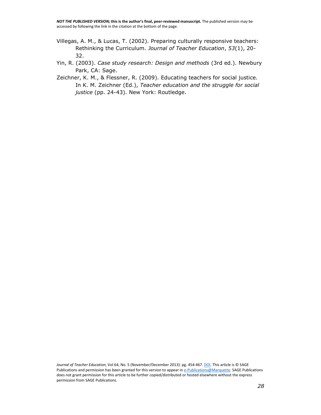- Villegas, A. M., & Lucas, T. (2002). Preparing culturally responsive teachers: Rethinking the Curriculum. *Journal of Teacher Education*, *53*(1), 20- 32.
- Yin, R. (2003). *Case study research: Design and methods* (3rd ed.). Newbury Park, CA: Sage.
- Zeichner, K. M., & Flessner, R. (2009). Educating teachers for social justice. In K. M. Zeichner (Ed.), *Teacher education and the struggle for social justice* (pp. 24-43). New York: Routledge.

*Journal of Teacher Education*, Vol 64, No. 5 (November/December 2013): pg. 454-467[. DOI.](http://dx.doi.org/10.1177/0022487113494845) This article is © SAGE Publications and permission has been granted for this version to appear i[n e-Publications@Marquette.](http://epublications.marquette.edu/) SAGE Publications does not grant permission for this article to be further copied/distributed or hosted elsewhere without the express permission from SAGE Publications.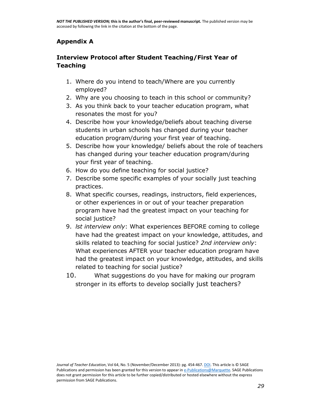#### **Appendix A**

#### **Interview Protocol after Student Teaching/First Year of Teaching**

- 1. Where do you intend to teach/Where are you currently employed?
- 2. Why are you choosing to teach in this school or community?
- 3. As you think back to your teacher education program, what resonates the most for you?
- 4. Describe how your knowledge/beliefs about teaching diverse students in urban schools has changed during your teacher education program/during your first year of teaching.
- 5. Describe how your knowledge/ beliefs about the role of teachers has changed during your teacher education program/during your first year of teaching.
- 6. How do you define teaching for social justice?
- 7. Describe some specific examples of your socially just teaching practices.
- 8. What specific courses, readings, instructors, field experiences, or other experiences in or out of your teacher preparation program have had the greatest impact on your teaching for social justice?
- 9. *lst interview only*: What experiences BEFORE coming to college have had the greatest impact on your knowledge, attitudes, and skills related to teaching for social justice? *2nd interview only*: What experiences AFTER your teacher education program have had the greatest impact on your knowledge, attitudes, and skills related to teaching for social justice?
- 10. What suggestions do you have for making our program stronger in its efforts to develop socially just teachers?

*Journal of Teacher Education*, Vol 64, No. 5 (November/December 2013): pg. 454-467[. DOI.](http://dx.doi.org/10.1177/0022487113494845) This article is © SAGE Publications and permission has been granted for this version to appear i[n e-Publications@Marquette.](http://epublications.marquette.edu/) SAGE Publications does not grant permission for this article to be further copied/distributed or hosted elsewhere without the express permission from SAGE Publications.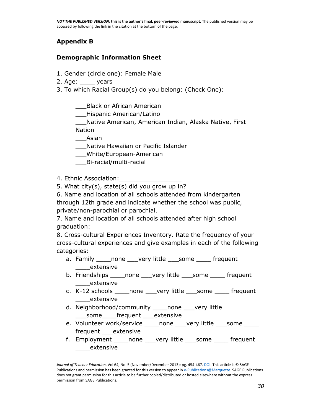#### **Appendix B**

#### **Demographic Information Sheet**

- 1. Gender (circle one): Female Male
- 2. Age: \_\_\_\_ years
- 3. To which Racial Group(s) do you belong: (Check One):

\_\_\_Black or African American

\_\_\_Hispanic American/Latino

\_\_\_Native American, American Indian, Alaska Native, First Nation

\_\_\_Asian

\_\_\_Native Hawaiian or Pacific Islander

\_\_\_White/European-American

\_\_\_Bi-racial/multi-racial

4. Ethnic Association:\_\_\_\_\_\_\_\_\_\_\_\_\_\_\_\_\_

5. What city(s), state(s) did you grow up in?

6. Name and location of all schools attended from kindergarten through 12th grade and indicate whether the school was public, private/non-parochial or parochial.

7. Name and location of all schools attended after high school graduation:

8. Cross-cultural Experiences Inventory. Rate the frequency of your cross-cultural experiences and give examples in each of the following categories:

- a. Family \_\_\_\_\_none \_\_\_very little \_\_\_\_some \_\_\_\_\_ frequent \_\_\_\_extensive
- b. Friendships \_\_\_\_\_none \_\_\_very little \_\_\_some \_\_\_\_\_ frequent \_\_\_\_extensive
- c. K-12 schools \_\_\_\_none \_\_\_very little \_\_\_some \_\_\_\_ frequent \_\_\_\_extensive
- d. Neighborhood/community \_\_\_\_none \_\_\_very little \_\_\_some\_\_\_\_frequent \_\_\_extensive
- e. Volunteer work/service \_\_\_\_\_none \_\_\_very little \_\_\_some \_\_\_\_ frequent extensive
- f. Employment \_\_\_\_none \_\_\_very little \_\_\_some \_\_\_\_ frequent \_\_\_\_extensive

*Journal of Teacher Education*, Vol 64, No. 5 (November/December 2013): pg. 454-467[. DOI.](http://dx.doi.org/10.1177/0022487113494845) This article is © SAGE Publications and permission has been granted for this version to appear i[n e-Publications@Marquette.](http://epublications.marquette.edu/) SAGE Publications does not grant permission for this article to be further copied/distributed or hosted elsewhere without the express permission from SAGE Publications.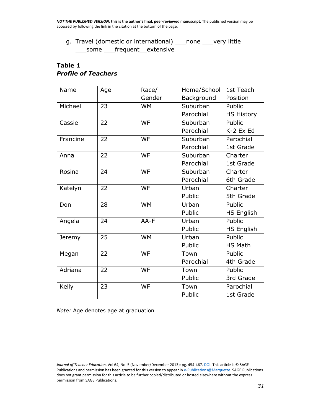g. Travel (domestic or international) \_\_\_none \_\_\_very little \_\_\_some \_\_\_frequent\_\_extensive

#### **Table 1**  *Profile of Teachers*

| Name     | Age          | Race/     | Home/School | 1st Teach         |  |  |
|----------|--------------|-----------|-------------|-------------------|--|--|
|          |              | Gender    | Background  | Position          |  |  |
| Michael  | 23           | <b>WM</b> | Suburban    | Public            |  |  |
|          |              |           | Parochial   | <b>HS History</b> |  |  |
| Cassie   | 22           | <b>WF</b> | Suburban    | Public            |  |  |
|          |              |           | Parochial   | K-2 Ex Ed         |  |  |
| Francine | 22           | <b>WF</b> | Suburban    | Parochial         |  |  |
|          |              |           | Parochial   | 1st Grade         |  |  |
| Anna     | 22           | <b>WF</b> | Suburban    | Charter           |  |  |
|          |              |           | Parochial   | 1st Grade         |  |  |
| Rosina   | 24           | <b>WF</b> | Suburban    | Charter           |  |  |
|          |              |           | Parochial   | 6th Grade         |  |  |
| Katelyn  | 22           | <b>WF</b> | Urban       | Charter           |  |  |
|          |              |           | Public      | 5th Grade         |  |  |
| Don      | 28           | <b>WM</b> | Urban       | Public            |  |  |
|          |              |           | Public      | <b>HS English</b> |  |  |
| Angela   | 24<br>$AA-F$ |           | Urban       | Public            |  |  |
|          |              |           | Public      | <b>HS English</b> |  |  |
| Jeremy   | 25           | <b>WM</b> | Urban       | Public            |  |  |
|          |              |           | Public      | <b>HS Math</b>    |  |  |
| Megan    | 22           | WF        | Town        | Public            |  |  |
|          |              |           | Parochial   | 4th Grade         |  |  |
| Adriana  | 22           | <b>WF</b> | Town        | Public            |  |  |
|          |              |           | Public      | 3rd Grade         |  |  |
| Kelly    | 23           | WF        | Town        | Parochial         |  |  |
|          |              |           | Public      | 1st Grade         |  |  |

*Note:* Age denotes age at graduation

*Journal of Teacher Education*, Vol 64, No. 5 (November/December 2013): pg. 454-467[. DOI.](http://dx.doi.org/10.1177/0022487113494845) This article is © SAGE Publications and permission has been granted for this version to appear i[n e-Publications@Marquette.](http://epublications.marquette.edu/) SAGE Publications does not grant permission for this article to be further copied/distributed or hosted elsewhere without the express permission from SAGE Publications.